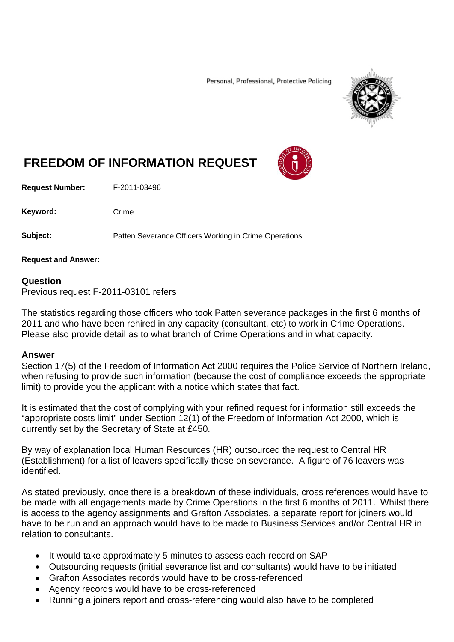Personal, Professional, Protective Policing



## **FREEDOM OF INFORMATION REQUEST**

**Request Number:** F-2011-03496

Keyword: Crime

**Subject:** Patten Severance Officers Working in Crime Operations

**Request and Answer:**

## **Question**

Previous request F-2011-03101 refers

The statistics regarding those officers who took Patten severance packages in the first 6 months of 2011 and who have been rehired in any capacity (consultant, etc) to work in Crime Operations. Please also provide detail as to what branch of Crime Operations and in what capacity.

## **Answer**

Section 17(5) of the Freedom of Information Act 2000 requires the Police Service of Northern Ireland, when refusing to provide such information (because the cost of compliance exceeds the appropriate limit) to provide you the applicant with a notice which states that fact.

It is estimated that the cost of complying with your refined request for information still exceeds the "appropriate costs limit" under Section 12(1) of the Freedom of Information Act 2000, which is currently set by the Secretary of State at £450.

By way of explanation local Human Resources (HR) outsourced the request to Central HR (Establishment) for a list of leavers specifically those on severance. A figure of 76 leavers was identified.

As stated previously, once there is a breakdown of these individuals, cross references would have to be made with all engagements made by Crime Operations in the first 6 months of 2011. Whilst there is access to the agency assignments and Grafton Associates, a separate report for joiners would have to be run and an approach would have to be made to Business Services and/or Central HR in relation to consultants.

- It would take approximately 5 minutes to assess each record on SAP
- Outsourcing requests (initial severance list and consultants) would have to be initiated
- Grafton Associates records would have to be cross-referenced
- Agency records would have to be cross-referenced
- Running a joiners report and cross-referencing would also have to be completed